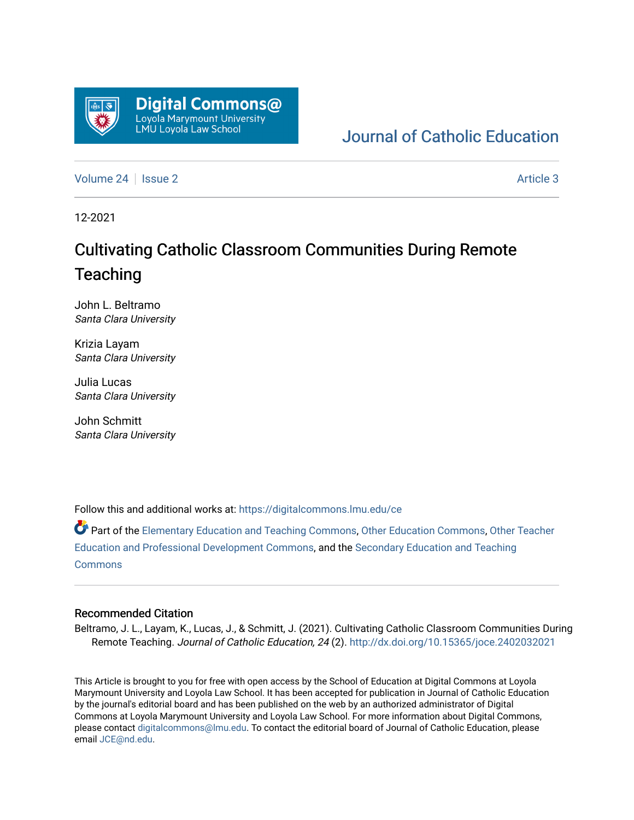

## [Journal of Catholic Education](https://digitalcommons.lmu.edu/ce)

[Volume 24](https://digitalcommons.lmu.edu/ce/vol24) | [Issue 2](https://digitalcommons.lmu.edu/ce/vol24/iss2) Article 3

12-2021

# Cultivating Catholic Classroom Communities During Remote **Teaching**

John L. Beltramo Santa Clara University

Krizia Layam Santa Clara University

Julia Lucas Santa Clara University

John Schmitt Santa Clara University

Follow this and additional works at: [https://digitalcommons.lmu.edu/ce](https://digitalcommons.lmu.edu/ce?utm_source=digitalcommons.lmu.edu%2Fce%2Fvol24%2Fiss2%2F3&utm_medium=PDF&utm_campaign=PDFCoverPages)

Part of the [Elementary Education and Teaching Commons,](https://network.bepress.com/hgg/discipline/805?utm_source=digitalcommons.lmu.edu%2Fce%2Fvol24%2Fiss2%2F3&utm_medium=PDF&utm_campaign=PDFCoverPages) [Other Education Commons,](https://network.bepress.com/hgg/discipline/811?utm_source=digitalcommons.lmu.edu%2Fce%2Fvol24%2Fiss2%2F3&utm_medium=PDF&utm_campaign=PDFCoverPages) [Other Teacher](https://network.bepress.com/hgg/discipline/810?utm_source=digitalcommons.lmu.edu%2Fce%2Fvol24%2Fiss2%2F3&utm_medium=PDF&utm_campaign=PDFCoverPages)  [Education and Professional Development Commons](https://network.bepress.com/hgg/discipline/810?utm_source=digitalcommons.lmu.edu%2Fce%2Fvol24%2Fiss2%2F3&utm_medium=PDF&utm_campaign=PDFCoverPages), and the [Secondary Education and Teaching](https://network.bepress.com/hgg/discipline/809?utm_source=digitalcommons.lmu.edu%2Fce%2Fvol24%2Fiss2%2F3&utm_medium=PDF&utm_campaign=PDFCoverPages) [Commons](https://network.bepress.com/hgg/discipline/809?utm_source=digitalcommons.lmu.edu%2Fce%2Fvol24%2Fiss2%2F3&utm_medium=PDF&utm_campaign=PDFCoverPages)

### Recommended Citation

Beltramo, J. L., Layam, K., Lucas, J., & Schmitt, J. (2021). Cultivating Catholic Classroom Communities During Remote Teaching. Journal of Catholic Education, 24 (2). <http://dx.doi.org/10.15365/joce.2402032021>

This Article is brought to you for free with open access by the School of Education at Digital Commons at Loyola Marymount University and Loyola Law School. It has been accepted for publication in Journal of Catholic Education by the journal's editorial board and has been published on the web by an authorized administrator of Digital Commons at Loyola Marymount University and Loyola Law School. For more information about Digital Commons, please contact [digitalcommons@lmu.edu](mailto:digitalcommons@lmu.edu). To contact the editorial board of Journal of Catholic Education, please email [JCE@nd.edu](mailto:JCE@nd.edu).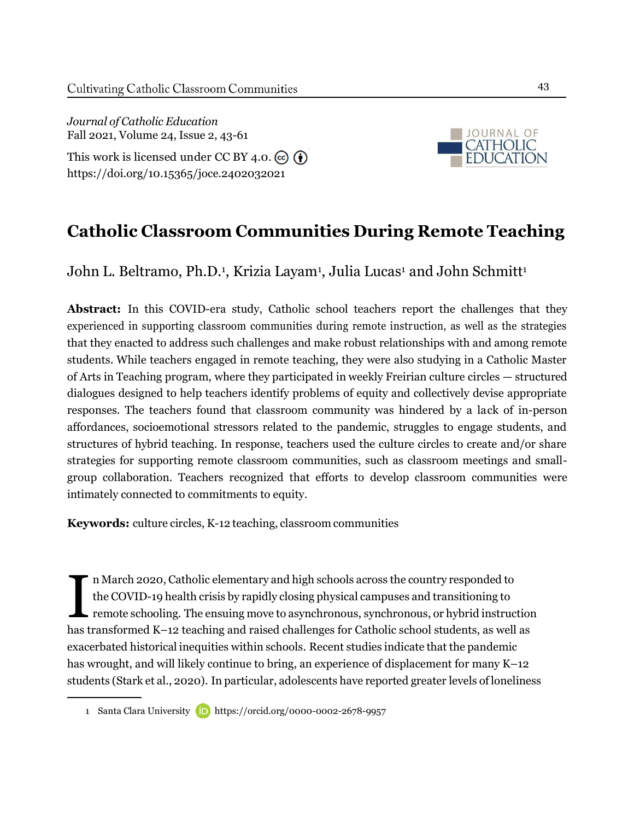*Journal of Catholic Education* Fall 2021, Volume 24, Issue 2, 43-61 This work is licensed under CC BY 4.0.  $\left( \widehat{\mathbf{e}} \right)$ <https://doi.org/10.15365/joce.2402032021>



## **Catholic Classroom Communities During Remote Teaching**

John L. Beltramo, Ph.D.<sup>1</sup>, Krizia Layam<sup>1</sup>, Julia Lucas<sup>1</sup> and John Schmitt<sup>1</sup>

**Abstract:** In this COVID-era study, Catholic school teachers report the challenges that they experienced in supporting classroom communities during remote instruction, as well as the strategies that they enacted to address such challenges and make robust relationships with and among remote students. While teachers engaged in remote teaching, they were also studying in a Catholic Master of Arts in Teaching program, where they participated in weekly Freirian culture circles — structured dialogues designed to help teachers identify problems of equity and collectively devise appropriate responses. The teachers found that classroom community was hindered by a lack of in-person affordances, socioemotional stressors related to the pandemic, struggles to engage students, and structures of hybrid teaching. In response, teachers used the culture circles to create and/or share strategies for supporting remote classroom communities, such as classroom meetings and smallgroup collaboration. Teachers recognized that efforts to develop classroom communities were intimately connected to commitments to equity.

**Keywords:** culture circles, K-12 teaching, classroom communities

I nMarch 2020, Catholic elementary and high schools across the country responded to the COVID-19 health crisis by rapidly closing physical campuses and transitioning to remote schooling. The ensuing move to asynchronous, synchronous, or hybrid instruction has transformed K–12 teaching and raised challenges for Catholic school students, as well as exacerbated historical inequities within schools. Recent studies indicate that the pandemic has wrought, and will likely continue to bring, an experience of displacement for many K–12 students (Stark et al., 2020). In particular, adolescents have reported greater levels of loneliness

<sup>1</sup> Santa Clara University **D** <https://orcid.org/0000-0002-2678-9957>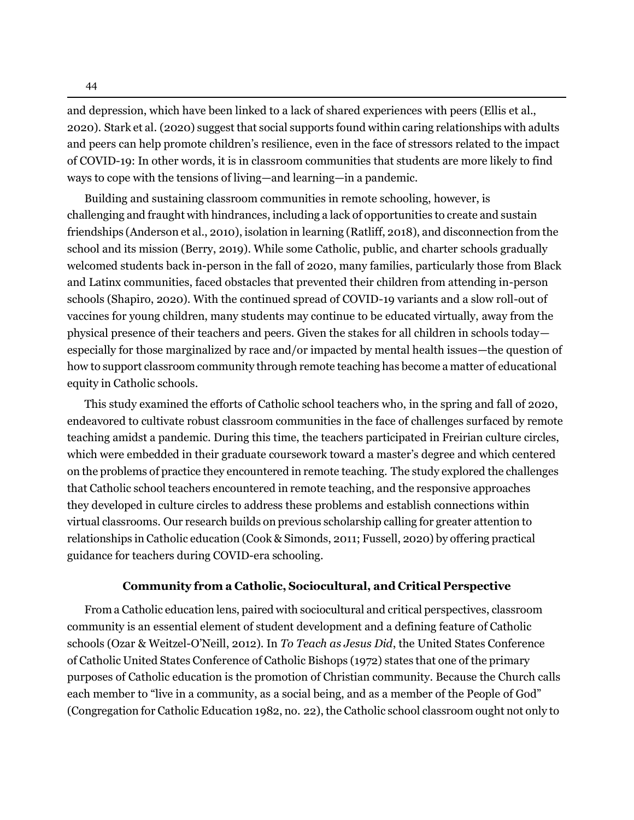and depression, which have been linked to a lack of shared experiences with peers (Ellis et al., 2020). Stark et al. (2020) suggest that social supports found within caring relationships with adults and peers can help promote children's resilience, even in the face of stressors related to the impact of COVID-19: In other words, it is in classroom communities that students are more likely to find ways to cope with the tensions of living—and learning—in a pandemic.

Building and sustaining classroom communities in remote schooling, however, is challenging and fraught with hindrances, including a lack of opportunities to create and sustain friendships (Anderson et al., 2010), isolation in learning (Ratliff, 2018), and disconnection from the school and its mission (Berry, 2019). While some Catholic, public, and charter schools gradually welcomed students back in-person in the fall of 2020, many families, particularly those from Black and Latinx communities, faced obstacles that prevented their children from attending in-person schools (Shapiro, 2020). With the continued spread of COVID-19 variants and a slow roll-out of vaccines for young children, many students may continue to be educated virtually, away from the physical presence of their teachers and peers. Given the stakes for all children in schools today especially for those marginalized by race and/or impacted by mental health issues—the question of how to support classroom community through remote teaching has become a matter of educational equity in Catholic schools.

This study examined the efforts of Catholic school teachers who, in the spring and fall of 2020, endeavored to cultivate robust classroom communities in the face of challenges surfaced by remote teaching amidst a pandemic. During this time, the teachers participated in Freirian culture circles, which were embedded in their graduate coursework toward a master's degree and which centered on the problems of practice they encountered in remote teaching. The study explored the challenges that Catholic school teachers encountered in remote teaching, and the responsive approaches they developed in culture circles to address these problems and establish connections within virtual classrooms. Our research builds on previous scholarship calling for greater attention to relationships in Catholic education (Cook & Simonds, 2011; Fussell, 2020) by offering practical guidance for teachers during COVID-era schooling.

## **Community from a Catholic, Sociocultural, and Critical Perspective**

From a Catholic education lens, paired with sociocultural and critical perspectives, classroom community is an essential element of student development and a defining feature of Catholic schools (Ozar & Weitzel-O'Neill, 2012). In *To Teach as Jesus Did*, the United States Conference of Catholic United States Conference of Catholic Bishops (1972) states that one of the primary purposes of Catholic education is the promotion of Christian community. Because the Church calls each member to "live in a community, as a social being, and as a member of the People of God" (Congregation for Catholic Education 1982, no. 22), the Catholic school classroom ought not only to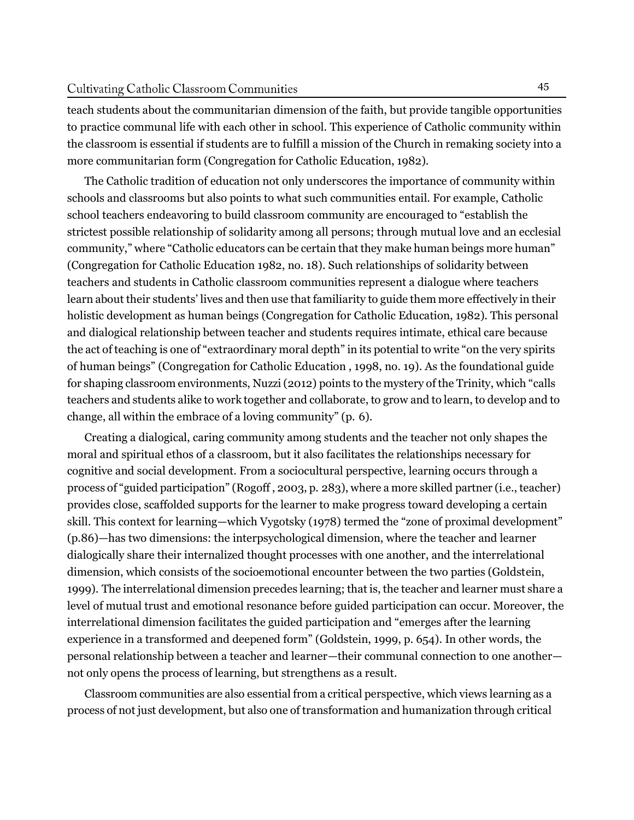teach students about the communitarian dimension of the faith, but provide tangible opportunities to practice communal life with each other in school. This experience of Catholic community within the classroom is essential if students are to fulfill a mission of the Church in remaking society into a more communitarian form (Congregation for Catholic Education, 1982).

The Catholic tradition of education not only underscores the importance of community within schools and classrooms but also points to what such communities entail. For example, Catholic school teachers endeavoring to build classroom community are encouraged to "establish the strictest possible relationship of solidarity among all persons; through mutual love and an ecclesial community," where "Catholic educators can be certain that they make human beings more human" (Congregation for Catholic Education 1982, no. 18). Such relationships of solidarity between teachers and students in Catholic classroom communities represent a dialogue where teachers learn about their students' lives and then use that familiarity to guide them more effectively in their holistic development as human beings (Congregation for Catholic Education, 1982). This personal and dialogical relationship between teacher and students requires intimate, ethical care because the act of teaching is one of "extraordinary moral depth" in its potential to write "on the very spirits of human beings" (Congregation for Catholic Education , 1998, no. 19). As the foundational guide for shaping classroom environments, Nuzzi(2012) points to the mystery of the Trinity, which "calls teachers and students alike to work together and collaborate, to grow and to learn, to develop and to change, all within the embrace of a loving community" (p. 6).

Creating a dialogical, caring community among students and the teacher not only shapes the moral and spiritual ethos of a classroom, but it also facilitates the relationships necessary for cognitive and social development. From a sociocultural perspective, learning occurs through a process of "guided participation" (Rogoff , 2003, p. 283), where a more skilled partner (i.e., teacher) provides close, scaffolded supports for the learner to make progress toward developing a certain skill. This context for learning—which Vygotsky (1978) termed the "zone of proximal development" (p.86)—has two dimensions: the interpsychological dimension, where the teacher and learner dialogically share their internalized thought processes with one another, and the interrelational dimension, which consists of the socioemotional encounter between the two parties (Goldstein, 1999). The interrelational dimension precedes learning; that is, the teacher and learner must share a level of mutual trust and emotional resonance before guided participation can occur. Moreover, the interrelational dimension facilitates the guided participation and "emerges after the learning experience in a transformed and deepened form" (Goldstein, 1999, p. 654). In other words, the personal relationship between a teacher and learner—their communal connection to one another not only opens the process of learning, but strengthens as a result.

Classroom communities are also essential from a critical perspective, which views learning as a process of not just development, but also one of transformation and humanization through critical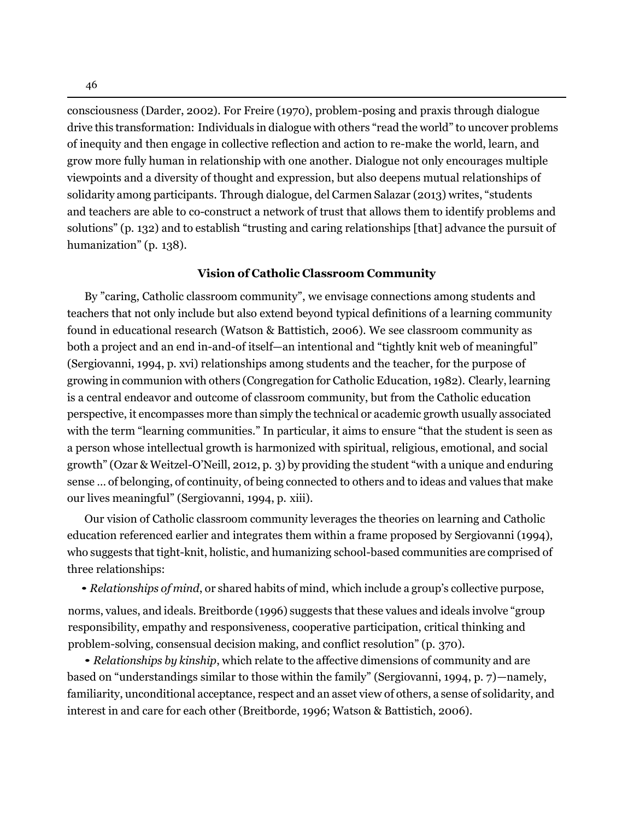46

consciousness (Darder, 2002). For Freire (1970), problem-posing and praxis through dialogue drive this transformation: Individuals in dialogue with others "read the world" to uncover problems of inequity and then engage in collective reflection and action to re-make the world, learn, and grow more fully human in relationship with one another. Dialogue not only encourages multiple viewpoints and a diversity of thought and expression, but also deepens mutual relationships of solidarity among participants. Through dialogue, del Carmen Salazar (2013) writes, "students and teachers are able to co-construct a network of trust that allows them to identify problems and solutions" (p. 132) and to establish "trusting and caring relationships [that] advance the pursuit of humanization" (p. 138).

## **Vision of Catholic Classroom Community**

By "caring, Catholic classroom community", we envisage connections among students and teachers that not only include but also extend beyond typical definitions of a learning community found in educational research (Watson & Battistich, 2006). We see classroom community as both a project and an end in-and-of itself—an intentional and "tightly knit web of meaningful" (Sergiovanni, 1994, p. xvi) relationships among students and the teacher, for the purpose of growing in communion with others (Congregation for Catholic Education, 1982). Clearly, learning is a central endeavor and outcome of classroom community, but from the Catholic education perspective, it encompasses more than simply the technical or academic growth usually associated with the term "learning communities." In particular, it aims to ensure "that the student is seen as a person whose intellectual growth is harmonized with spiritual, religious, emotional, and social growth" (Ozar & Weitzel-O'Neill, 2012, p. 3) by providing the student "with a unique and enduring sense … of belonging, of continuity, of being connected to others and to ideas and values that make our lives meaningful" (Sergiovanni, 1994, p. xiii).

Our vision of Catholic classroom community leverages the theories on learning and Catholic education referenced earlier and integrates them within a frame proposed by Sergiovanni (1994), who suggests that tight-knit, holistic, and humanizing school-based communities are comprised of three relationships:

• *Relationships of mind*, or shared habits of mind, which include <sup>a</sup> group's collective purpose,

norms, values, and ideals. Breitborde (1996) suggests that these values and ideals involve "group responsibility, empathy and responsiveness, cooperative participation, critical thinking and problem-solving, consensual decision making, and conflict resolution" (p. 370).

• *Relationships by kinship*, which relate to the affective dimensions of community and are based on "understandings similar to those within the family" (Sergiovanni, 1994, p. 7)—namely, familiarity, unconditional acceptance, respect and an asset view of others, a sense of solidarity, and interest in and care for each other (Breitborde, 1996; Watson & Battistich, 2006).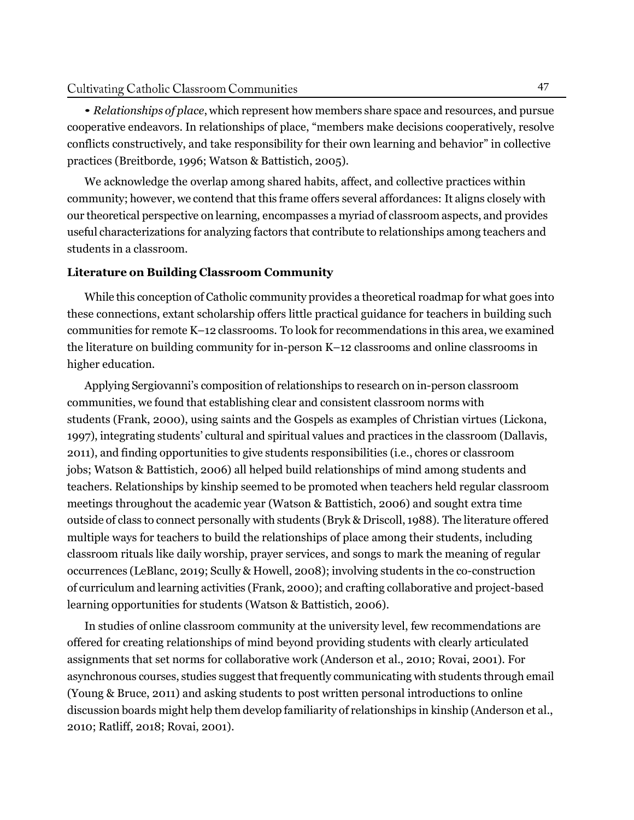• *Relationships of place*, which represent how members share space and resources, and pursue cooperative endeavors. In relationships of place, "members make decisions cooperatively, resolve conflicts constructively, and take responsibility for their own learning and behavior" in collective practices (Breitborde, 1996; Watson & Battistich, 2005).

We acknowledge the overlap among shared habits, affect, and collective practices within community; however, we contend that this frame offers several affordances: It aligns closely with our theoretical perspective on learning, encompasses a myriad of classroom aspects, and provides useful characterizations for analyzing factors that contribute to relationships among teachers and students in a classroom.

## **Literature on Building Classroom Community**

While this conception of Catholic community provides a theoretical roadmap for what goes into these connections, extant scholarship offers little practical guidance for teachers in building such communities for remote K–12 classrooms. To look for recommendations in this area, we examined the literature on building community for in-person K–12 classrooms and online classrooms in higher education.

Applying Sergiovanni's composition of relationships to research on in-person classroom communities, we found that establishing clear and consistent classroom norms with students (Frank, 2000), using saints and the Gospels as examples of Christian virtues (Lickona, 1997), integrating students' cultural and spiritual values and practices in the classroom (Dallavis, 2011), and finding opportunities to give students responsibilities (i.e., chores or classroom jobs; Watson & Battistich, 2006) all helped build relationships of mind among students and teachers. Relationships by kinship seemed to be promoted when teachers held regular classroom meetings throughout the academic year (Watson & Battistich, 2006) and sought extra time outside of class to connect personally with students (Bryk & Driscoll, 1988). The literature offered multiple ways for teachers to build the relationships of place among their students, including classroom rituals like daily worship, prayer services, and songs to mark the meaning of regular occurrences (LeBlanc, 2019; Scully & Howell, 2008); involving students in the co-construction of curriculum and learning activities (Frank, 2000); and crafting collaborative and project-based learning opportunities for students (Watson & Battistich, 2006).

In studies of online classroom community at the university level, few recommendations are offered for creating relationships of mind beyond providing students with clearly articulated assignments that set norms for collaborative work (Anderson et al., 2010; Rovai, 2001). For asynchronous courses, studies suggest that frequently communicating with students through email (Young & Bruce, 2011) and asking students to post written personal introductions to online discussion boards might help them develop familiarity of relationships in kinship (Anderson et al., 2010; Ratliff, 2018; Rovai, 2001).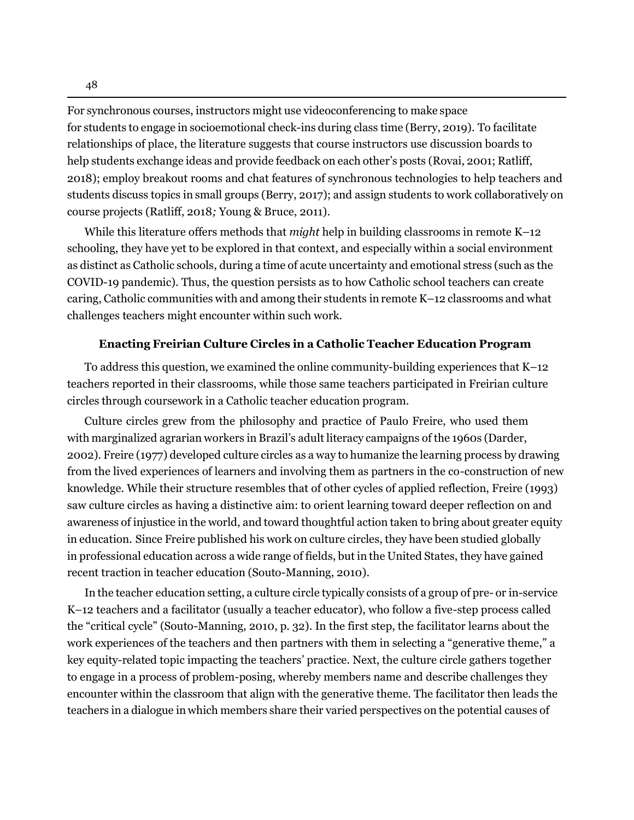For synchronous courses, instructors might use videoconferencing to make space for students to engage in socioemotional check-ins during class time (Berry, 2019). To facilitate relationships of place, the literature suggests that course instructors use discussion boards to help students exchange ideas and provide feedback on each other's posts (Rovai, 2001; Ratliff, 2018); employ breakout rooms and chat features of synchronous technologies to help teachers and students discuss topics in small groups (Berry, 2017); and assign students to work collaboratively on course projects (Ratliff, 2018*;* Young & Bruce, 2011).

While this literature offers methods that *might* help in building classrooms in remote K–12 schooling, they have yet to be explored in that context, and especially within a social environment as distinct as Catholic schools, during a time of acute uncertainty and emotional stress (such as the COVID-19 pandemic). Thus, the question persists as to how Catholic school teachers can create caring, Catholic communities with and among their students in remote K–12 classrooms and what challenges teachers might encounter within such work.

#### **Enacting Freirian Culture Circles in a Catholic Teacher Education Program**

To address this question, we examined the online community-building experiences that K–12 teachers reported in their classrooms, while those same teachers participated in Freirian culture circles through coursework in a Catholic teacher education program.

Culture circles grew from the philosophy and practice of Paulo Freire, who used them with marginalized agrarian workers in Brazil's adult literacy campaigns of the 1960s (Darder, 2002). Freire (1977) developed culture circles as a way to humanize the learning process by drawing from the lived experiences of learners and involving them as partners in the co-construction of new knowledge. While their structure resembles that of other cycles of applied reflection, Freire (1993) saw culture circles as having a distinctive aim: to orient learning toward deeper reflection on and awareness of injustice in the world, and toward thoughtful action taken to bring about greater equity in education. Since Freire published his work on culture circles, they have been studied globally in professional education across a wide range of fields, but in the United States, they have gained recent traction in teacher education (Souto-Manning, 2010).

In the teacher education setting, a culture circle typically consists of a group of pre- or in-service K–12 teachers and a facilitator (usually a teacher educator), who follow a five-step process called the "critical cycle" (Souto-Manning, 2010, p. 32). In the first step, the facilitator learns about the work experiences of the teachers and then partners with them in selecting a "generative theme," a key equity-related topic impacting the teachers' practice. Next, the culture circle gathers together to engage in a process of problem-posing, whereby members name and describe challenges they encounter within the classroom that align with the generative theme. The facilitator then leads the teachers in a dialogue in which members share their varied perspectives on the potential causes of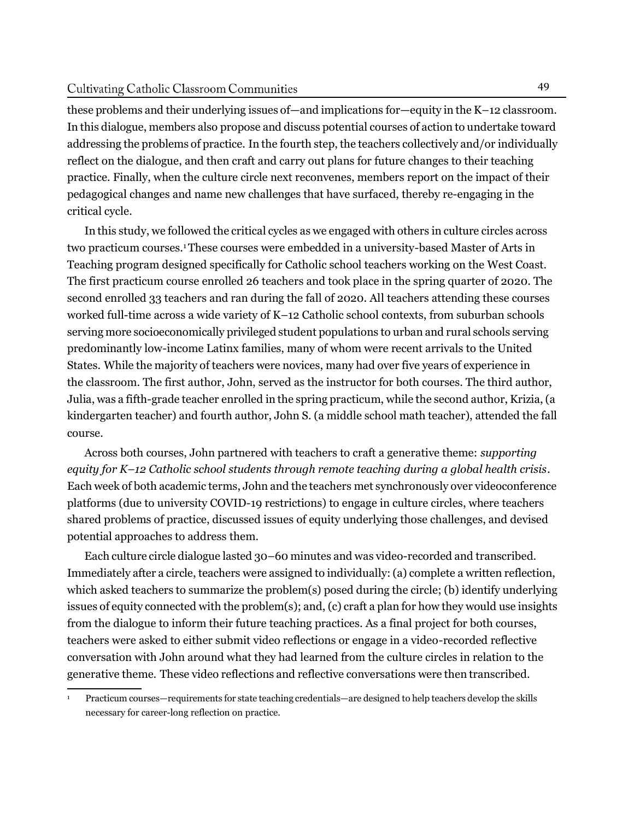#### Cultivating Catholic Classroom Communities

these problems and their underlying issues of—and implications for—equity in the K–12 classroom. In this dialogue, members also propose and discuss potential courses of action to undertake toward addressing the problems of practice. In the fourth step, the teachers collectively and/or individually reflect on the dialogue, and then craft and carry out plans for future changes to their teaching practice. Finally, when the culture circle next reconvenes, members report on the impact of their pedagogical changes and name new challenges that have surfaced, thereby re-engaging in the critical cycle.

In this study, we followed the critical cycles as we engaged with others in culture circles across two practicum courses.1 These courses were embedded in a university-based Master of Arts in Teaching program designed specifically for Catholic school teachers working on the West Coast. The first practicum course enrolled 26 teachers and took place in the spring quarter of 2020. The second enrolled 33 teachers and ran during the fall of 2020. All teachers attending these courses worked full-time across a wide variety of K–12 Catholic school contexts, from suburban schools serving more socioeconomically privileged student populations to urban and rural schools serving predominantly low-income Latinx families, many of whom were recent arrivals to the United States. While the majority of teachers were novices, many had over five years of experience in the classroom. The first author, John, served as the instructor for both courses. The third author, Julia, was a fifth-grade teacher enrolled in the spring practicum, while the second author, Krizia, (a kindergarten teacher) and fourth author, John S. (a middle school math teacher), attended the fall course.

Across both courses, John partnered with teachers to craft a generative theme: *supporting equity for K–12 Catholic school students through remote teaching during a global health crisis*. Each week of both academic terms, John and the teachers met synchronously over videoconference platforms (due to university COVID-19 restrictions) to engage in culture circles, where teachers shared problems of practice, discussed issues of equity underlying those challenges, and devised potential approaches to address them.

Each culture circle dialogue lasted 30–60 minutes and was video-recorded and transcribed. Immediately after a circle, teachers were assigned to individually:(a) complete a written reflection, which asked teachers to summarize the problem(s) posed during the circle; (b) identify underlying issues of equity connected with the problem(s); and, (c) craft a plan for how they would use insights from the dialogue to inform their future teaching practices. As a final project for both courses, teachers were asked to either submit video reflections or engage in a video-recorded reflective conversation with John around what they had learned from the culture circles in relation to the generative theme. These video reflections and reflective conversations were then transcribed.

<sup>1</sup> Practicum courses—requirements for state teaching credentials—are designed to help teachers develop the skills necessary for career-long reflection on practice.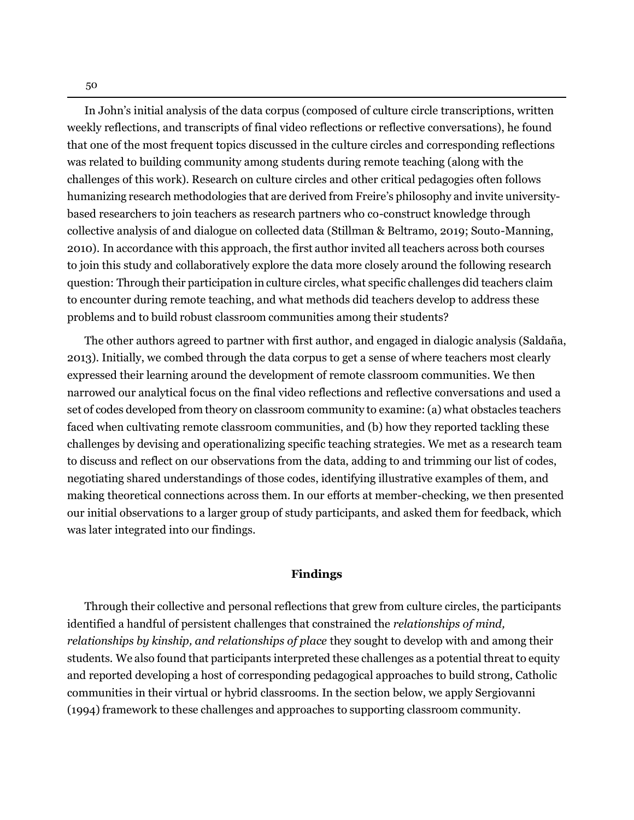In John's initial analysis of the data corpus (composed of culture circle transcriptions, written weekly reflections, and transcripts of final video reflections or reflective conversations), he found that one of the most frequent topics discussed in the culture circles and corresponding reflections was related to building community among students during remote teaching (along with the challenges of this work). Research on culture circles and other critical pedagogies often follows humanizing research methodologies that are derived from Freire's philosophy and invite universitybased researchers to join teachers as research partners who co-construct knowledge through collective analysis of and dialogue on collected data (Stillman & Beltramo, 2019; Souto-Manning, 2010). In accordance with this approach, the first author invited all teachers across both courses to join this study and collaboratively explore the data more closely around the following research question: Through their participation in culture circles, what specific challenges did teachers claim to encounter during remote teaching, and what methods did teachers develop to address these problems and to build robust classroom communities among their students?

The other authors agreed to partner with first author, and engaged in dialogic analysis (Saldaña, 2013). Initially, we combed through the data corpus to get a sense of where teachers most clearly expressed their learning around the development of remote classroom communities. We then narrowed our analytical focus on the final video reflections and reflective conversations and used a set of codes developed from theory on classroom community to examine:(a) what obstacles teachers faced when cultivating remote classroom communities, and (b) how they reported tackling these challenges by devising and operationalizing specific teaching strategies. We met as a research team to discuss and reflect on our observations from the data, adding to and trimming our list of codes, negotiating shared understandings of those codes, identifying illustrative examples of them, and making theoretical connections across them. In our efforts at member-checking, we then presented our initial observations to a larger group of study participants, and asked them for feedback, which was later integrated into our findings.

## **Findings**

Through their collective and personal reflections that grew from culture circles, the participants identified a handful of persistent challenges that constrained the *relationships of mind, relationships by kinship, and relationships of place* they sought to develop with and among their students. We also found that participants interpreted these challenges as a potential threat to equity and reported developing a host of corresponding pedagogical approaches to build strong, Catholic communities in their virtual or hybrid classrooms. In the section below, we apply Sergiovanni (1994) framework to these challenges and approaches to supporting classroom community.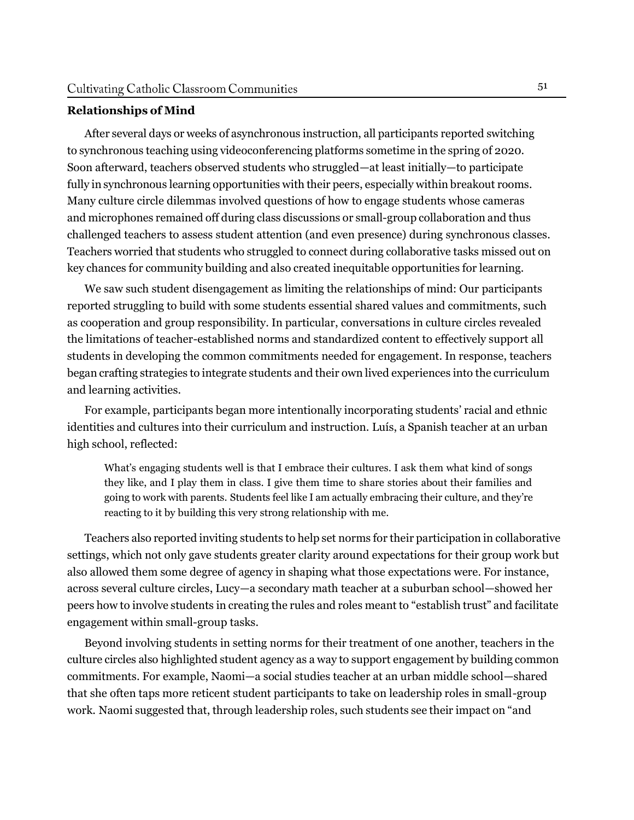## **Relationships of Mind**

After several days or weeks of asynchronous instruction, all participants reported switching to synchronous teaching using videoconferencing platforms sometime in the spring of 2020. Soon afterward, teachers observed students who struggled—at least initially—to participate fully in synchronous learning opportunities with their peers, especially within breakout rooms. Many culture circle dilemmas involved questions of how to engage students whose cameras and microphones remained off during class discussions or small-group collaboration and thus challenged teachers to assess student attention (and even presence) during synchronous classes. Teachers worried that students who struggled to connect during collaborative tasks missed out on key chances for community building and also created inequitable opportunities for learning.

We saw such student disengagement as limiting the relationships of mind: Our participants reported struggling to build with some students essential shared values and commitments, such as cooperation and group responsibility. In particular, conversations in culture circles revealed the limitations of teacher-established norms and standardized content to effectively support all students in developing the common commitments needed for engagement. In response, teachers began crafting strategies to integrate students and their own lived experiences into the curriculum and learning activities.

For example, participants began more intentionally incorporating students' racial and ethnic identities and cultures into their curriculum and instruction. Luís, a Spanish teacher at an urban high school, reflected:

What's engaging students well is that I embrace their cultures. I ask them what kind of songs they like, and I play them in class. I give them time to share stories about their families and going to work with parents. Students feel like I am actually embracing their culture, and they're reacting to it by building this very strong relationship with me.

Teachers also reported inviting students to help set norms for their participation in collaborative settings, which not only gave students greater clarity around expectations for their group work but also allowed them some degree of agency in shaping what those expectations were. For instance, across several culture circles, Lucy—a secondary math teacher at a suburban school—showed her peers how to involve students in creating the rules and roles meant to "establish trust" and facilitate engagement within small-group tasks.

Beyond involving students in setting norms for their treatment of one another, teachers in the culture circles also highlighted student agency as a way to support engagement by building common commitments. For example, Naomi—a social studies teacher at an urban middle school—shared that she often taps more reticent student participants to take on leadership roles in small-group work. Naomi suggested that, through leadership roles, such students see their impact on "and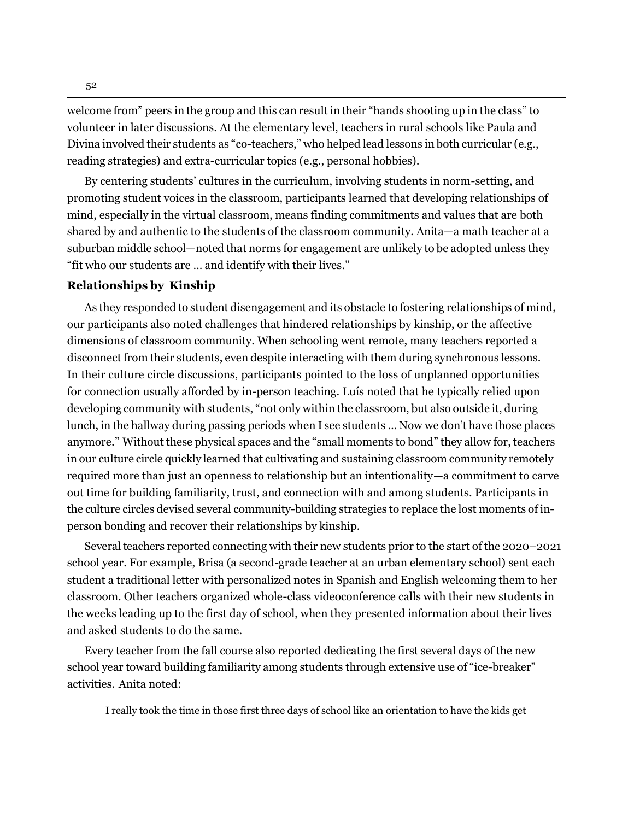welcome from" peers in the group and this can result in their "hands shooting up in the class" to volunteer in later discussions. At the elementary level, teachers in rural schools like Paula and Divina involved their students as "co-teachers," who helped lead lessons in both curricular (e.g., reading strategies) and extra-curricular topics (e.g., personal hobbies).

By centering students' cultures in the curriculum, involving students in norm-setting, and promoting student voices in the classroom, participants learned that developing relationships of mind, especially in the virtual classroom, means finding commitments and values that are both shared by and authentic to the students of the classroom community. Anita—a math teacher at a suburban middle school—noted that norms for engagement are unlikely to be adopted unless they "fit who our students are … and identify with their lives."

## **Relationships by Kinship**

As they responded to student disengagement and its obstacle to fostering relationships of mind, our participants also noted challenges that hindered relationships by kinship, or the affective dimensions of classroom community. When schooling went remote, many teachers reported a disconnect from their students, even despite interacting with them during synchronous lessons. In their culture circle discussions, participants pointed to the loss of unplanned opportunities for connection usually afforded by in-person teaching. Luís noted that he typically relied upon developing community with students, "not only within the classroom, but also outside it, during lunch, in the hallway during passing periods when I see students … Now we don't have those places anymore." Without these physical spaces and the "small moments to bond" they allow for, teachers in our culture circle quickly learned that cultivating and sustaining classroom community remotely required more than just an openness to relationship but an intentionality—a commitment to carve out time for building familiarity, trust, and connection with and among students. Participants in the culture circles devised several community-building strategies to replace the lost moments of inperson bonding and recover their relationships by kinship.

Several teachers reported connecting with their new students prior to the start of the 2020–2021 school year. For example, Brisa (a second-grade teacher at an urban elementary school) sent each student a traditional letter with personalized notes in Spanish and English welcoming them to her classroom. Other teachers organized whole-class videoconference calls with their new students in the weeks leading up to the first day of school, when they presented information about their lives and asked students to do the same.

Every teacher from the fall course also reported dedicating the first several days of the new school year toward building familiarity among students through extensive use of "ice-breaker" activities. Anita noted:

I really took the time in those first three days of school like an orientation to have the kids get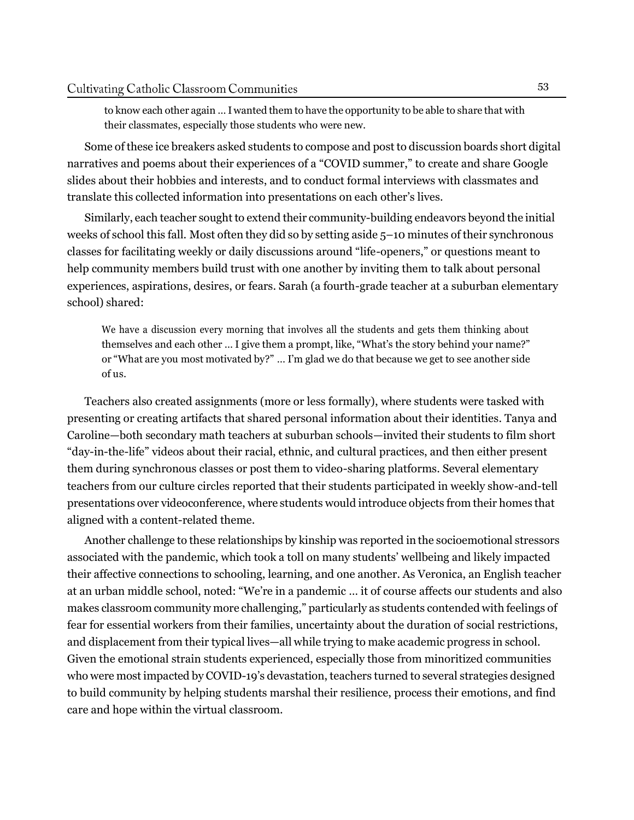to know each other again … I wanted them to have the opportunity to be able to share that with their classmates, especially those students who were new.

Some of these ice breakers asked students to compose and post to discussion boards short digital narratives and poems about their experiences of a "COVID summer," to create and share Google slides about their hobbies and interests, and to conduct formal interviews with classmates and translate this collected information into presentations on each other's lives.

Similarly, each teacher sought to extend their community-building endeavors beyond the initial weeks of school this fall. Most often they did so by setting aside 5–10 minutes of their synchronous classes for facilitating weekly or daily discussions around "life-openers," or questions meant to help community members build trust with one another by inviting them to talk about personal experiences, aspirations, desires, or fears. Sarah (a fourth-grade teacher at a suburban elementary school) shared:

We have a discussion every morning that involves all the students and gets them thinking about themselves and each other … I give them a prompt, like, "What's the story behind your name?" or "What are you most motivated by?" … I'm glad we do that because we get to see another side of us.

Teachers also created assignments (more or less formally), where students were tasked with presenting or creating artifacts that shared personal information about their identities. Tanya and Caroline—both secondary math teachers at suburban schools—invited their students to film short "day-in-the-life" videos about their racial, ethnic, and cultural practices, and then either present them during synchronous classes or post them to video-sharing platforms. Several elementary teachers from our culture circles reported that their students participated in weekly show-and-tell presentations over videoconference, where students would introduce objects from their homes that aligned with a content-related theme.

Another challenge to these relationships by kinship was reported in the socioemotional stressors associated with the pandemic, which took a toll on many students' wellbeing and likely impacted their affective connections to schooling, learning, and one another. As Veronica, an English teacher at an urban middle school, noted: "We're in a pandemic … it of course affects our students and also makes classroom community more challenging," particularly as students contended with feelings of fear for essential workers from their families, uncertainty about the duration of social restrictions, and displacement from their typical lives—all while trying to make academic progress in school. Given the emotional strain students experienced, especially those from minoritized communities who were most impacted by COVID-19's devastation, teachers turned to several strategies designed to build community by helping students marshal their resilience, process their emotions, and find care and hope within the virtual classroom.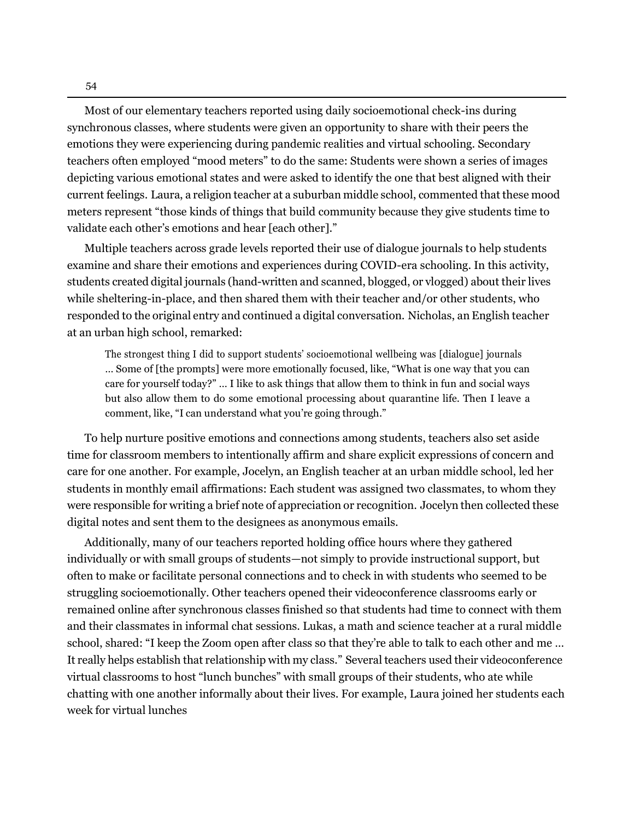Most of our elementary teachers reported using daily socioemotional check-ins during synchronous classes, where students were given an opportunity to share with their peers the emotions they were experiencing during pandemic realities and virtual schooling. Secondary teachers often employed "mood meters" to do the same: Students were shown a series of images depicting various emotional states and were asked to identify the one that best aligned with their current feelings. Laura, a religion teacher at a suburban middle school, commented that these mood meters represent "those kinds of things that build community because they give students time to validate each other's emotions and hear [each other]."

Multiple teachers across grade levels reported their use of dialogue journals to help students examine and share their emotions and experiences during COVID-era schooling. In this activity, students created digital journals (hand-written and scanned, blogged, or vlogged) about their lives while sheltering-in-place, and then shared them with their teacher and/or other students, who responded to the original entry and continued a digital conversation. Nicholas, an English teacher at an urban high school, remarked:

The strongest thing I did to support students' socioemotional wellbeing was [dialogue] journals … Some of [the prompts] were more emotionally focused, like, "What is one way that you can care for yourself today?" … I like to ask things that allow them to think in fun and social ways but also allow them to do some emotional processing about quarantine life. Then I leave a comment, like, "I can understand what you're going through."

To help nurture positive emotions and connections among students, teachers also set aside time for classroom members to intentionally affirm and share explicit expressions of concern and care for one another. For example, Jocelyn, an English teacher at an urban middle school, led her students in monthly email affirmations: Each student was assigned two classmates, to whom they were responsible for writing a brief note of appreciation or recognition. Jocelyn then collected these digital notes and sent them to the designees as anonymous emails.

Additionally, many of our teachers reported holding office hours where they gathered individually or with small groups of students—not simply to provide instructional support, but often to make or facilitate personal connections and to check in with students who seemed to be struggling socioemotionally. Other teachers opened their videoconference classrooms early or remained online after synchronous classes finished so that students had time to connect with them and their classmates in informal chat sessions. Lukas, a math and science teacher at a rural middle school, shared: "I keep the Zoom open after class so that they're able to talk to each other and me … It really helps establish that relationship with my class." Several teachers used their videoconference virtual classrooms to host "lunch bunches" with small groups of their students, who ate while chatting with one another informally about their lives. For example, Laura joined her students each week for virtual lunches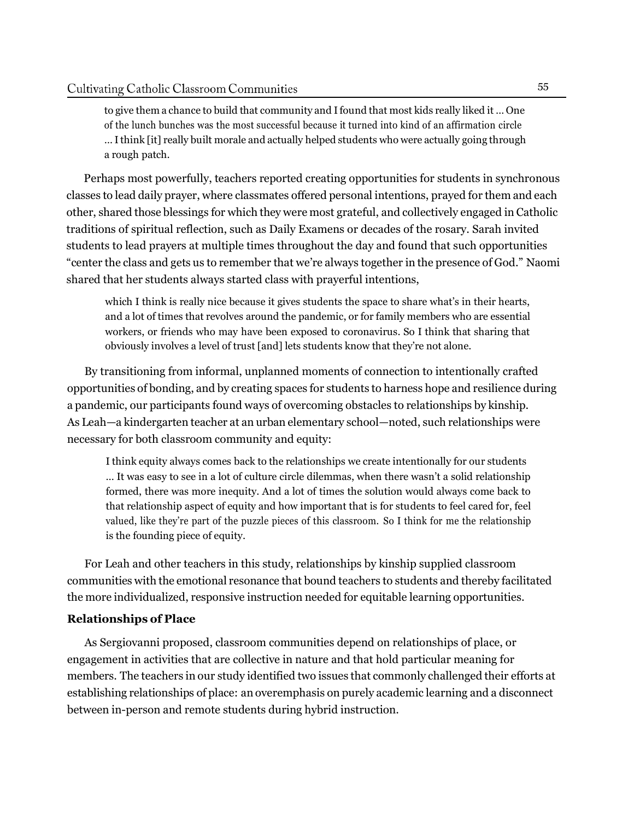to give them a chance to build that community and Ifound that most kids really liked it … One of the lunch bunches was the most successful because it turned into kind of an affirmation circle … Ithink [it] really built morale and actually helped students who were actually going through a rough patch.

Perhaps most powerfully, teachers reported creating opportunities for students in synchronous classes to lead daily prayer, where classmates offered personal intentions, prayed for them and each other, shared those blessings for which they were most grateful, and collectively engaged in Catholic traditions of spiritual reflection, such as Daily Examens or decades of the rosary. Sarah invited students to lead prayers at multiple times throughout the day and found that such opportunities "center the class and gets us to remember that we're always together in the presence of God." Naomi shared that her students always started class with prayerful intentions,

which I think is really nice because it gives students the space to share what's in their hearts, and a lot of times that revolves around the pandemic, or for family members who are essential workers, or friends who may have been exposed to coronavirus. So I think that sharing that obviously involves a level of trust [and] lets students know that they're not alone.

By transitioning from informal, unplanned moments of connection to intentionally crafted opportunities of bonding, and by creating spaces for students to harness hope and resilience during a pandemic, our participants found ways of overcoming obstacles to relationships by kinship. As Leah—a kindergarten teacher at an urban elementary school—noted, such relationships were necessary for both classroom community and equity:

I think equity always comes back to the relationships we create intentionally for our students … It was easy to see in a lot of culture circle dilemmas, when there wasn't a solid relationship formed, there was more inequity. And a lot of times the solution would always come back to that relationship aspect of equity and how important that is for students to feel cared for, feel valued, like they're part of the puzzle pieces of this classroom. So I think for me the relationship is the founding piece of equity.

For Leah and other teachers in this study, relationships by kinship supplied classroom communities with the emotional resonance that bound teachers to students and thereby facilitated the more individualized, responsive instruction needed for equitable learning opportunities.

#### **Relationships of Place**

As Sergiovanni proposed, classroom communities depend on relationships of place, or engagement in activities that are collective in nature and that hold particular meaning for members. The teachers in our study identified two issues that commonly challenged their efforts at establishing relationships of place: an overemphasis on purely academic learning and a disconnect between in-person and remote students during hybrid instruction.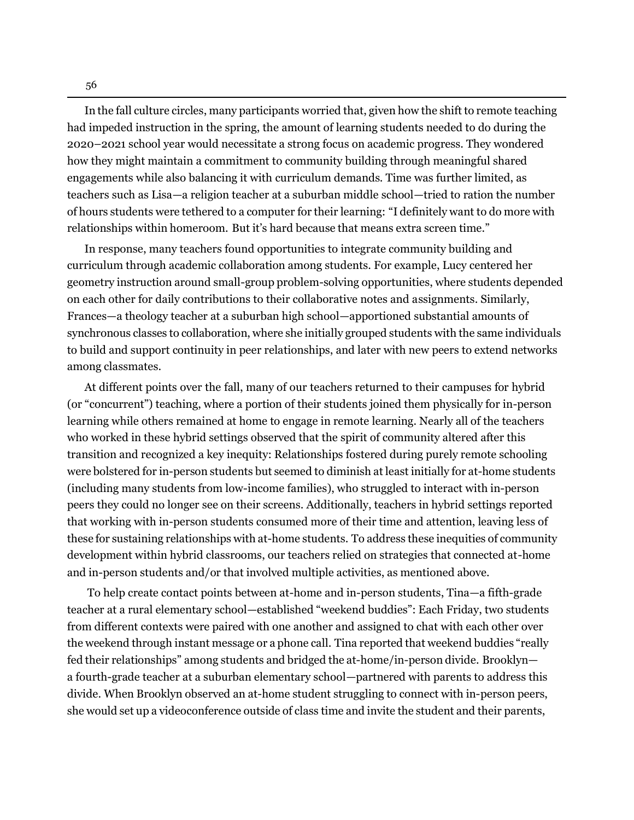In the fall culture circles, many participants worried that, given how the shift to remote teaching had impeded instruction in the spring, the amount of learning students needed to do during the 2020–2021 school year would necessitate a strong focus on academic progress. They wondered how they might maintain a commitment to community building through meaningful shared engagements while also balancing it with curriculum demands. Time was further limited, as teachers such as Lisa—a religion teacher at a suburban middle school—tried to ration the number of hours students were tethered to a computer for their learning: "I definitely want to do more with relationships within homeroom. But it's hard because that means extra screen time."

In response, many teachers found opportunities to integrate community building and curriculum through academic collaboration among students. For example, Lucy centered her geometry instruction around small-group problem-solving opportunities, where students depended on each other for daily contributions to their collaborative notes and assignments. Similarly, Frances—a theology teacher at a suburban high school—apportioned substantial amounts of synchronous classes to collaboration, where she initially grouped students with the same individuals to build and support continuity in peer relationships, and later with new peers to extend networks among classmates.

At different points over the fall, many of our teachers returned to their campuses for hybrid (or "concurrent") teaching, where a portion of their students joined them physically for in-person learning while others remained at home to engage in remote learning. Nearly all of the teachers who worked in these hybrid settings observed that the spirit of community altered after this transition and recognized a key inequity: Relationships fostered during purely remote schooling were bolstered for in-person students but seemed to diminish at least initially for at-home students (including many students from low-income families), who struggled to interact with in-person peers they could no longer see on their screens. Additionally, teachers in hybrid settings reported that working with in-person students consumed more of their time and attention, leaving less of these for sustaining relationships with at-home students. To address these inequities of community development within hybrid classrooms, our teachers relied on strategies that connected at-home and in-person students and/or that involved multiple activities, as mentioned above.

To help create contact points between at-home and in-person students, Tina—a fifth-grade teacher at a rural elementary school—established "weekend buddies": Each Friday, two students from different contexts were paired with one another and assigned to chat with each other over the weekend through instant message or a phone call. Tina reported that weekend buddies "really fed their relationships" among students and bridged the at-home/in-person divide. Brooklyn a fourth-grade teacher at a suburban elementary school—partnered with parents to address this divide. When Brooklyn observed an at-home student struggling to connect with in-person peers, she would set up a videoconference outside of class time and invite the student and their parents,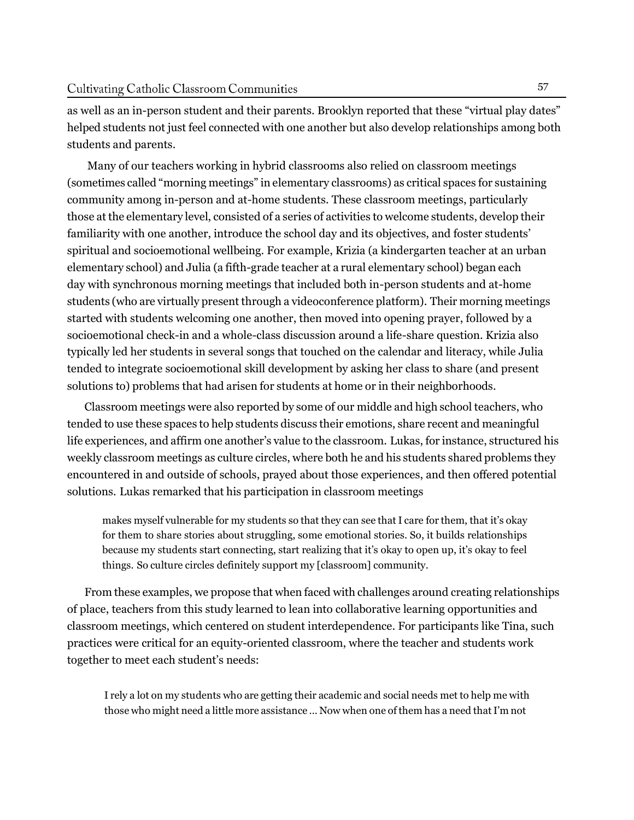as well as an in-person student and their parents. Brooklyn reported that these "virtual play dates" helped students not just feel connected with one another but also develop relationships among both students and parents.

Many of our teachers working in hybrid classrooms also relied on classroom meetings (sometimes called "morning meetings" in elementary classrooms) as critical spaces for sustaining community among in-person and at-home students. These classroom meetings, particularly those at the elementary level, consisted of a series of activities to welcome students, develop their familiarity with one another, introduce the school day and its objectives, and foster students' spiritual and socioemotional wellbeing. For example, Krizia (a kindergarten teacher at an urban elementary school) and Julia (a fifth-grade teacher at a rural elementary school) began each day with synchronous morning meetings that included both in-person students and at-home students (who are virtually present through a videoconference platform). Their morning meetings started with students welcoming one another, then moved into opening prayer, followed by a socioemotional check-in and a whole-class discussion around a life-share question. Krizia also typically led her students in several songs that touched on the calendar and literacy, while Julia tended to integrate socioemotional skill development by asking her class to share (and present solutions to) problems that had arisen for students at home or in their neighborhoods.

Classroom meetings were also reported by some of our middle and high school teachers, who tended to use these spaces to help students discuss their emotions, share recent and meaningful life experiences, and affirm one another's value to the classroom. Lukas, for instance, structured his weekly classroom meetings as culture circles, where both he and his students shared problems they encountered in and outside of schools, prayed about those experiences, and then offered potential solutions. Lukas remarked that his participation in classroom meetings

makes myself vulnerable for my students so that they can see that I care for them, that it's okay for them to share stories about struggling, some emotional stories. So, it builds relationships because my students start connecting, start realizing that it's okay to open up, it's okay to feel things. So culture circles definitely support my [classroom] community.

From these examples, we propose that when faced with challenges around creating relationships of place, teachers from this study learned to lean into collaborative learning opportunities and classroom meetings, which centered on student interdependence. For participants like Tina, such practices were critical for an equity-oriented classroom, where the teacher and students work together to meet each student's needs:

I rely a lot on my students who are getting their academic and social needs met to help me with those who might need a little more assistance ... Now when one of them has a need that I'm not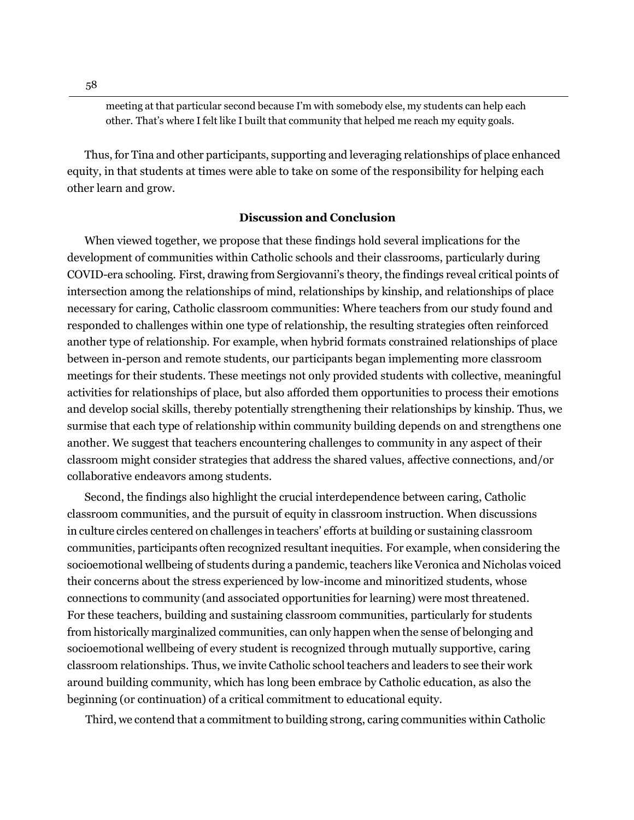meeting at that particular second because I'm with somebody else, my students can help each other. That's where Ifelt like I built that community that helped me reach my equity goals.

Thus, for Tina and other participants, supporting and leveraging relationships of place enhanced equity, in that students at times were able to take on some of the responsibility for helping each other learn and grow.

#### **Discussion and Conclusion**

When viewed together, we propose that these findings hold several implications for the development of communities within Catholic schools and their classrooms, particularly during COVID-era schooling. First, drawing from Sergiovanni's theory, the findings reveal critical points of intersection among the relationships of mind, relationships by kinship, and relationships of place necessary for caring, Catholic classroom communities: Where teachers from our study found and responded to challenges within one type of relationship, the resulting strategies often reinforced another type of relationship. For example, when hybrid formats constrained relationships of place between in-person and remote students, our participants began implementing more classroom meetings for their students. These meetings not only provided students with collective, meaningful activities for relationships of place, but also afforded them opportunities to process their emotions and develop social skills, thereby potentially strengthening their relationships by kinship. Thus, we surmise that each type of relationship within community building depends on and strengthens one another. We suggest that teachers encountering challenges to community in any aspect of their classroom might consider strategies that address the shared values, affective connections, and/or collaborative endeavors among students.

Second, the findings also highlight the crucial interdependence between caring, Catholic classroom communities, and the pursuit of equity in classroom instruction. When discussions in culture circles centered on challenges in teachers' efforts at building or sustaining classroom communities, participants often recognized resultant inequities. For example, when considering the socioemotional wellbeing of students during a pandemic, teachers like Veronica and Nicholas voiced their concerns about the stress experienced by low-income and minoritized students, whose connections to community (and associated opportunities for learning) were most threatened. For these teachers, building and sustaining classroom communities, particularly for students from historically marginalized communities, can only happen when the sense of belonging and socioemotional wellbeing of every student is recognized through mutually supportive, caring classroom relationships. Thus, we invite Catholic school teachers and leaders to see their work around building community, which has long been embrace by Catholic education, as also the beginning (or continuation) of a critical commitment to educational equity.

Third, we contend that a commitment to building strong, caring communities within Catholic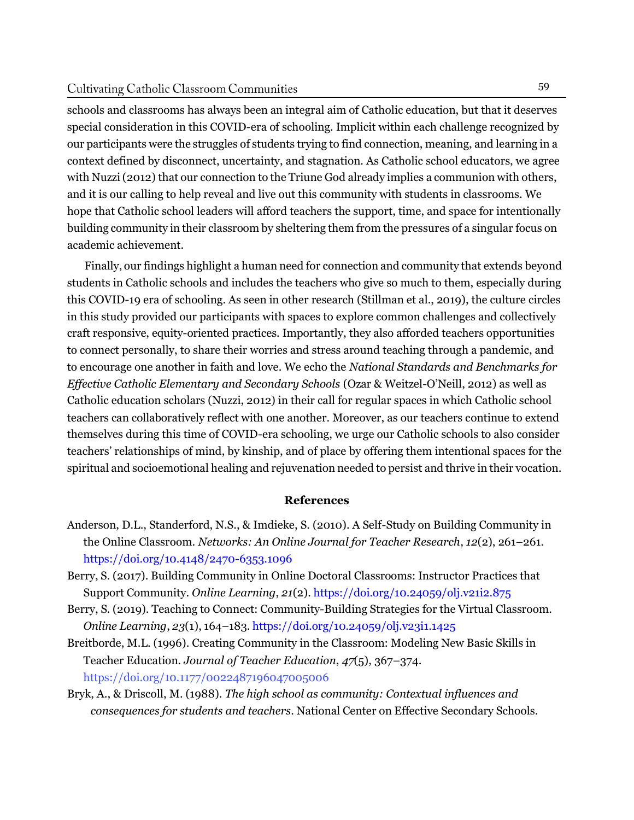#### Cultivating Catholic Classroom Communities

schools and classrooms has always been an integral aim of Catholic education, but that it deserves special consideration in this COVID-era of schooling. Implicit within each challenge recognized by our participants were the struggles of students trying to find connection, meaning, and learning in a context defined by disconnect, uncertainty, and stagnation. As Catholic school educators, we agree with Nuzzi (2012) that our connection to the Triune God already implies a communion with others, and it is our calling to help reveal and live out this community with students in classrooms. We hope that Catholic school leaders will afford teachers the support, time, and space for intentionally building community in their classroom by sheltering them from the pressures of a singular focus on academic achievement.

Finally, our findings highlight a human need for connection and community that extends beyond students in Catholic schools and includes the teachers who give so much to them, especially during this COVID-19 era of schooling. As seen in other research (Stillman et al., 2019), the culture circles in this study provided our participants with spaces to explore common challenges and collectively craft responsive, equity-oriented practices. Importantly, they also afforded teachers opportunities to connect personally, to share their worries and stress around teaching through a pandemic, and to encourage one another in faith and love. We echo the *National Standards and Benchmarks for Effective Catholic Elementary and Secondary Schools* (Ozar & Weitzel-O'Neill, 2012) as well as Catholic education scholars (Nuzzi, 2012) in their call for regular spaces in which Catholic school teachers can collaboratively reflect with one another. Moreover, as our teachers continue to extend themselves during this time of COVID-era schooling, we urge our Catholic schools to also consider teachers' relationships of mind, by kinship, and of place by offering them intentional spaces for the spiritual and socioemotional healing and rejuvenation needed to persist and thrive in their vocation.

## **References**

- Anderson, D.L., Standerford, N.S., & Imdieke, S. (2010). A Self-Study on Building Community in the Online Classroom. *Networks: An Online Journal for Teacher Research*, *12*(2), 261–261. <https://doi.org/10.4148/2470-6353.1096>
- Berry, S. (2017). Building Community in Online Doctoral Classrooms: Instructor Practices that Support Community. *Online Learning*, *21*(2). <https://doi.org/10.24059/olj.v21i2.875>
- Berry, S. (2019). Teaching to Connect: Community-Building Strategies for the Virtual Classroom. *Online Learning*, *23*(1), 164–183. <https://doi.org/10.24059/olj.v23i1.1425>
- Breitborde, M.L. (1996). Creating Community in the Classroom: Modeling New Basic Skills in Teacher Education. *Journal of Teacher Education*, *47*(5), 367–374. <https://doi.org/10.1177/0022487196047005006>
- Bryk, A., & Driscoll, M. (1988). *The high school as community: Contextual influences and consequences for students and teachers*. National Center on Effective Secondary Schools.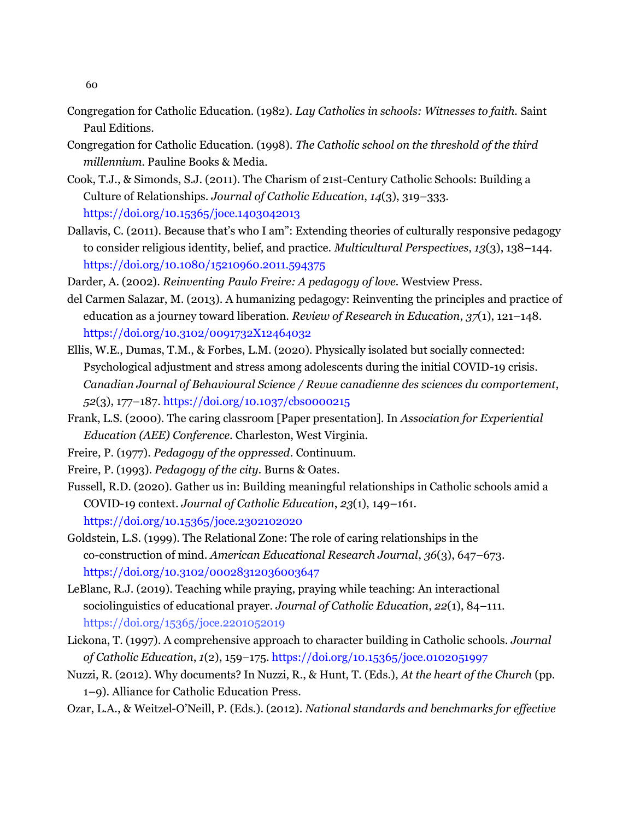- Congregation for Catholic Education. (1982). *Lay Catholics in schools: Witnesses to faith.* Saint Paul Editions.
- Congregation for Catholic Education. (1998). *The Catholic school on the threshold of the third millennium.* Pauline Books & Media.
- Cook, T.J., & Simonds, S.J. (2011). The Charism of 21st-Century Catholic Schools: Building a Culture of Relationships. *Journal of Catholic Education*, *14*(3), 319–333. <https://doi.org/10.15365/joce.1403042013>
- Dallavis, C. (2011). Because that's who I am": Extending theories of culturally responsive pedagogy to consider religious identity, belief, and practice. *Multicultural Perspectives*, *13*(3), 138–144. <https://doi.org/10.1080/15210960.2011.594375>
- Darder, A. (2002). *Reinventing Paulo Freire: A pedagogy of love.* Westview Press.
- del Carmen Salazar, M. (2013). A humanizing pedagogy: Reinventing the principles and practice of education as a journey toward liberation. *Review of Research in Education*, *37*(1), 121–148. <https://doi.org/10.3102/0091732X12464032>
- Ellis, W.E., Dumas, T.M., & Forbes, L.M. (2020). Physically isolated but socially connected: Psychological adjustment and stress among adolescents during the initial COVID-19 crisis. *Canadian Journal of Behavioural Science / Revue canadienne des sciences du comportement*, *52*(3), 177–187[. https://doi.org/10.1037/cbs0000215](https://doi.org/10.1037/cbs0000215)
- Frank, L.S. (2000). The caring classroom [Paper presentation]. In *Association for Experiential Education (AEE) Conference*. Charleston, West Virginia.
- Freire, P. (1977). *Pedagogy of the oppressed*. Continuum.
- Freire, P. (1993). *Pedagogy of the city.* Burns & Oates.
- Fussell, R.D. (2020). Gather us in: Building meaningful relationships in Catholic schools amid a COVID-19 context. *Journal of Catholic Education*, *23*(1), 149–161. <https://doi.org/10.15365/joce.2302102020>
- Goldstein, L.S. (1999). The Relational Zone: The role of caring relationships in the co-construction of mind. *American Educational Research Journal*, *36*(3), 647–673. <https://doi.org/10.3102/00028312036003647>
- LeBlanc, R.J. (2019). Teaching while praying, praying while teaching: An interactional sociolinguistics of educational prayer. *Journal of Catholic Education*, *22*(1), 84–111. <https://doi.org/15365/joce.2201052019>
- Lickona, T. (1997). A comprehensive approach to character building in Catholic schools. *Journal of Catholic Education*, *1*(2), 159–175. <https://doi.org/10.15365/joce.0102051997>
- Nuzzi, R. (2012). Why documents? In Nuzzi, R., & Hunt, T. (Eds.), *At the heart of the Church* (pp. 1–9). Alliance for Catholic Education Press.
- Ozar, L.A., & Weitzel-O'Neill, P. (Eds.). (2012). *National standards and benchmarks for effective*